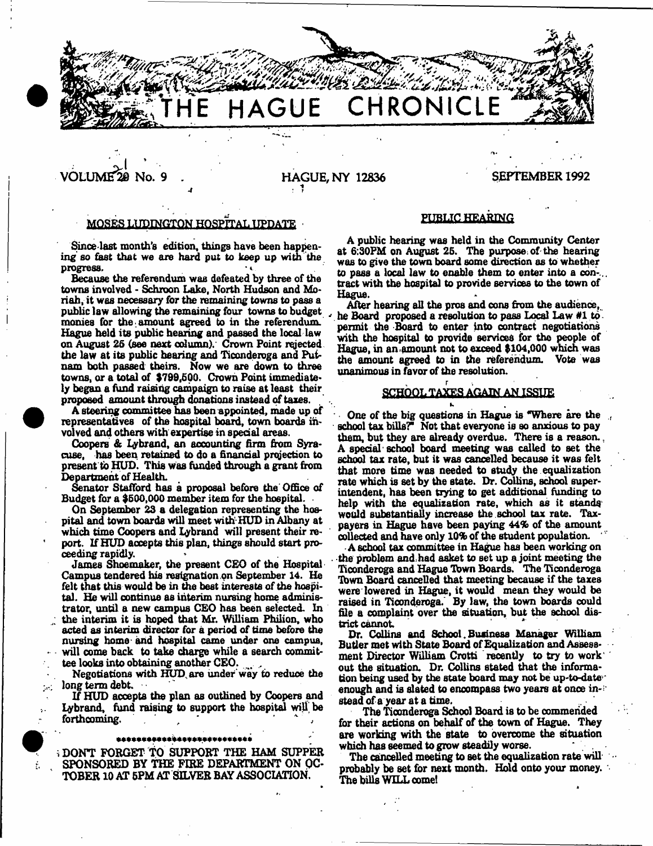

# VOLUME^© No. 9 HAGUE, NY 12836 SEPTEMBER 1992

#### MOSES LUDINGTON HOSPITAL UPDATE

Since last month's edition, things have been happening so fast that we are hard put to keep up with the progress. progress, \*

Because the referendum was defeated by three of the towns involved - Schroon Lake, North Hudson and Moriah, it was necessary for the remaining towns to pass a public law allowing the remaining four towns to budget monies for the amount agreed to in the referendum. Hague held its public hearing and passed the local law on August 26 (see next column}. Crown Point rejected the law at its public hearing and Ticonderoga and Putnam both passed theirs. Now we are down to three towns, or a total of \$799,500. Crown Point immediately began a fund raising campaign to raise at least their proposed amount through donations instead of taxes.

A steering committee has been appointed, made up of representatives of the hospital board, town boards involved and others with expertise in special areas.

Coopers & Ijybrand, an accounting firm from Syracuse, has been retained to do a financial projection to present to HUD. This was funded through a grant from Department of Health.

Senator Stafford has a proposal before the Office of Budget for a \$600,000 member item for the hospital.

On September 23 a delegation representing the hospital and town boards will meet with HUD in Albany at which time Coopers and Lybrand will present their report. If HUD accepts this plan, things should start proceeding rapidly.

James Shoemaker, the present CEO of the Hospital Campus tendered his resignation on September 14. He felt that this would be in the best interests of the hospital. He will continue as interim nursing home administrator, until a new campus CEO has been selected. In the interim it is hoped that Mr. William Philion, who

acted as interim director for a period of time before the nursing home and hospital came under one campus, will come back to take charge while a search commit-

tee looks into obtaining another CEO.

Negotiations with HUD. are under way to reduce the long term debt.

If HUD accepts the plan as outlined by Coopers and Ly brand, fund raising to support the hospital will be forthcoming.

#### \*\*\*\*\*\*\*\*\*\*\*\*\*\*\*\*\*\*\*\*\*\*\*\*\*\*

<sup>i</sup>DONT FORGET TO SUPPORT THE HAM SUPPER SPONSORED BY THE FIRE DEPARTMENT ON OC-TOBER 10 AT 6PM AT SILVER BAY ASSOCIATION.

#### PUBLIC HEARING

A public hearing was held in the Community Center at 6;30PM on August 26. The purpose, of the hearing was to give the town board some direction as to whether to pass a local law to enable them to enter into a con-.., tract with the hospital to provide services to the town of Hague.

After hearing all the pros and cons from the audience, he Board proposed a resolution to pass Local Law #1 to permit the Board to enter into contract negotiations with the hospital to provide services for the people of Hague, in an .amount not to exceed \$104,000 which was the amount agreed to in the referendum. Vote was unanimous in favor of the resolution.

#### SCHOOL TAXES AGAIN AN ISSUE

One of the big questions in Hague is "Where are the school tax bills?" Not that everyone is so anxious to pay them, but they are already overdue. There is a reason. . A special school board meeting was called to set the school tax rate, but it was cancelled because it was felt that more time was needed to study the equalization rate which is set by the state. Dr. Collins, school superintendent, has been trying to get additional funding to help with the equalization rate, which as it stands would substantially increase the school tax rate. Taxpayers in Hague have been paying 44% of the amount collected and have only 10% of the student population. '

A school tax committee in Hague has been working on the problem and had asket to set up a joint meeting the Ticonderoga and Hague Tbwn Boards. The Ticonderoga Tbwn Board cancelled that meeting because if the taxes were lowered in Hague, it would mean they would be raised in Ticonderoga. By law, the town boards could file a complaint over the situation, but the school district cannot

Dr. Collins and School. Business Manager William Butler met with State Board of Equalization and Assessment Director William Crotti recently to try to work out the situation. Dr. Collins stated that the information being used by the state board may not be up-to-date enough and is slated to encompass two years at once in-; stead of a year at a time.

The Ticonderoga School Board is to be commended for their actions on behalf of the town of Hague. They are working with the state to overcome the situation which has seemed to grow steadily worse.

The cancelled meeting to set the equalization rate will probably be set for next month. Hold onto your money. The bills WILL comet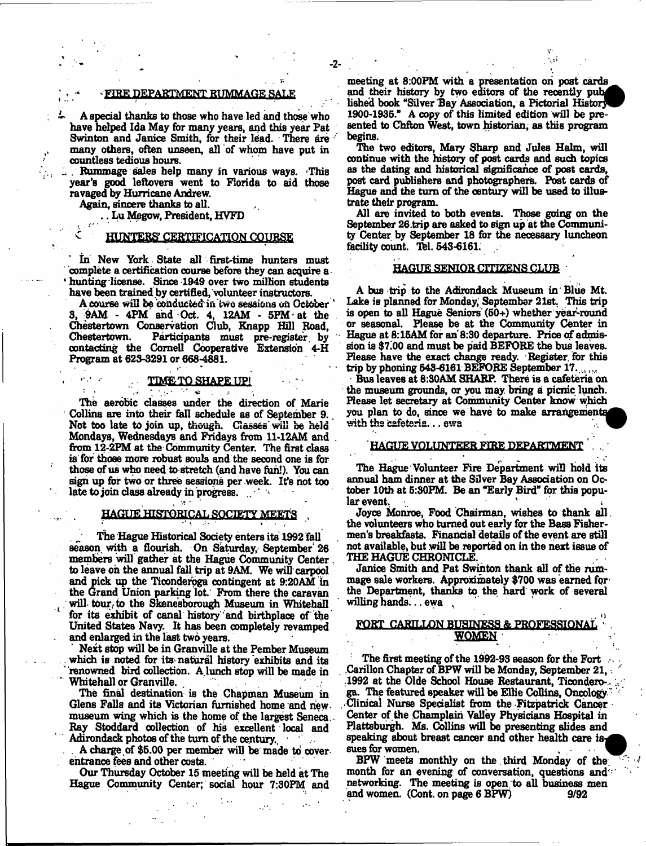#### FIRE DEPARTMENT RUMMAGE SA

- 2-

A special thanks to those who have led and those who have helped Ida May for many years, and this year Pat Swinton and Janice Smith, for their lead. There are many others, often unseen, all of whom have put in countless tedious hours.

Rummage sales help many in various ways. This year's good leftovers went to Florida to aid those ravaged by Hurricane Andrew.

Again, sincere thanks to all.

.. Lu Megow, President, HVFD

#### HUNTERS CERTIFICATION COURSE

In New York State all first-time hunters must complete a certification course before they can acquire a hunting license. Since 1949 over two million students have been trained by certified, volunteer instructors.

A course will be conducted in two sessions on October 3, 9AM - 4PM and Oct. 4, 12AM - 5FM- at the Chestertown Conservation Club, Knapp Hill Road, Participants must pre-register by contacting the Cornell Cooperative Extension 4-H Program at 623-3291 or 668-4881.

# TIMETO SHAPE UP!

 $\sim$ 

The aerobic classes under the direction of Marie Collins are into their fall schedule as of September 9. Not too late to join up, though. Classes' will be held Mondays, Wednesdays and Fridays from 11-12AM and from 12-2FM at the Community Center. The first class is for those more robust souls and the second one is for those of us who need to stretch (and have fun!). You can sign up for two or three sessions per week. It's hot too late to join class already in progress.

#### HAGUE HISTORICAL SOCIETY MEETS

The Hague Historical Society enters its 1992 fall season with a flourish. On Saturday, September' 26 members will gather at the Hague Community Center to leave oh the annual fall trip at 9AM. We will carpool and pick up the Ticonderoga contingent at 9:20AM in the Grand Union parking lot. From there the caravan will-tour-to the Skenesborough Museum in Whitehall for its exhibit of canal history 'and birthplace of the United States Navy. It has been completely revamped and enlarged in the last two years.

Next stop will be in Granville at the Pember Museum which is noted for its natural history exhibits and its " renowned bird collection. A lunch stop will be made in Whitehall or Granville.

The final destination is the Chapman Museum in Glens Falls and its Victorian furnished home and new museum wing which is the home of the largest Seneca. Bay Stoddard collection of his excellent local and Adirondack photos of the turn of the century.  $\sim$   $\sim$ 

A charge of \$5.00 per member will be made to coverentrance fees and other costs.

Our Thursday October 15 meeting will be held at The Hague Community Center; social hour 7:30PM and

lished book "Silver Bay Association, a Pictorial History meeting at 8:00FM with a presentation on post cards and their history by two editors of the recently pub-1900-1935." A copy of this limited edition will be presented to Chfton West, town historian, as this program begins.

The two editors, Mary Sharp and Jules Halm, will continue with the history of post cards and such topics as the dating and historical significance of post cards, post card publishers and photographers. Post cards of Hague and the turn of the century will be used to illustrate their program.

All are invited to both events. Those going on the September 26 trip are asked to sign up at the Community Center by September 18 for the necessary luncheon facility count. Tel. 543-6161.

#### HAGUE SENIOR CITIZENS CLUB

A bus trip to the Adirondack Museum in Blue Mt. Lake is planned for Monday, September 21st. This trip is open to all Hague Seniors (50+) whether y^ar-round or seasonal. Please be at the Community Center in Hague at 8:15AM for ah 8:30 departure. Price of admission is \$7.00 and must be paid BEFORE the bus leaves. Please have the exact change ready. Register, for this trip by phoning 543-6161 BEFORE September 17......

Bus leaves at 8:30AM SHARP. There is a cafeteria on the museum grounds, or you may bring a picnic lunch. Please let secretary at Community Center know which you plan to do, since we have to make arrangements with the cafeteria... ewa

# HAGUE VOLUNTEER FIRE DEPARTMENT

The Hague Volunteer Fire Department will hold its annual ham dinner at the Silver Bay Association on October 10th at 5:30PM. Be an "Early Bird" for this popular event.

Joyce Monroe, Food Chairman, wishes to thank all. the volunteers who turned out early for the Baas Fishermen's breakfasts. Financial details of the event are still not available, but will be reported on in the next issue of THE HAGUE CHRONICLE,

Janice Smith and Pat Swinton thank all of the rummage sale workers. Approximately \$700 was earned for the Department, thanks to the hard work of several willing hands... ewa

#### FORT CARILLON BUSINESS & PROFESSIONAL *m m a*

The first meeting of the 1992-93 season for the Fort Carillon Chapter of BPW will be Monday, September 21, .1992 at the Olde School House Restaurant, Ticondero-, ga. The featured speaker will be Ellie Collins, Oncology Clinical Nurse Specialist from the Fitzpatrick Cancer Center of the Champlain Valley Physicians Hospital in Plattsburgh. Ms. Collins will be presenting slides and speaking about breast cancer and other health care is, sues for women.

BPW meets monthly on the third Monday of the. month for an evening of conversation, questions and  $\cdot$ networking. The meeting is open to all business men<br>and women. (Cont. on page 6 BPW) 9/92 and women. (Cont. on page 6 BPW)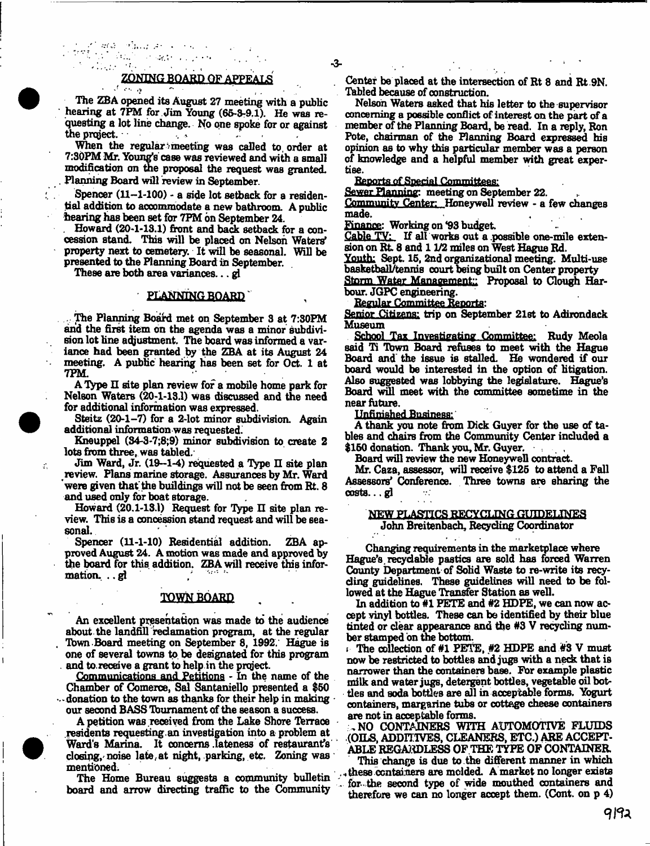# ZONING BOARD OF APPEALS

The ZBA opened its August 27 meeting with a public hearing at 7PM for Jim Young (65-3-9.1). He was requesting a lot line change. No one spoke for or against the project.  $\mathcal{A}_2\subset\mathcal{B}$ 

When the regular meeting was called to order at 7:30PM Mr. Young's case was reviewed and with a small modification on the proposal the request was granted. Planning Board will review in September.

Spencer  $(11-1-100)$  - a side lot setback for a residential addition to accommodate a new bathroom. A public hearing has been set for 7PM on September 24.

. Howard (20-1-13.1) front and back setback for a concession stand. This will be placed on Nelson Waters' property next to cemetery. It will be seasonal. Will be presented to the Planning Board in September.

These are both area variances... gl

 $\frac{1}{2\pi}\frac{2}{3}\int_{0}^{1}\frac{d\theta}{\sqrt{2}}\frac{d\theta}{\sqrt{2}}\frac{d\theta}{\sqrt{2}}\frac{d\theta}{\sqrt{2}}\frac{d\theta}{\sqrt{2}}\frac{d\theta}{\sqrt{2}}\frac{d\theta}{\sqrt{2}}\frac{d\theta}{\sqrt{2}}\frac{d\theta}{\sqrt{2}}\frac{d\theta}{\sqrt{2}}\frac{d\theta}{\sqrt{2}}\frac{d\theta}{\sqrt{2}}\frac{d\theta}{\sqrt{2}}\frac{d\theta}{\sqrt{2}}\frac{d\theta}{\sqrt{2}}\frac{d\theta}{\sqrt{2}}\frac{d\theta}{$ 

## PLANNING BOARD"

. The Planning Board met on September 3 at 7:30FM and the first item on the agenda was a minor subdivision lot line adjustment. The board was informed a variance had been granted by the ZBA at its August 24 meeting. A public hearing has been set for Oct. 1 at  $TPM.$ 

A Type II site plan review for a mobile home park for Nelson Waters (20:1-13.1) was discussed and the need for additional information was expressed.

Steitz (20-1-7) for a 2-lot minor subdivision. Again additional information-was requested.!

Kneuppel (S4-3-7;8;9) minor subdivision to create 2 lots from three, was tabled.

Jim Ward, Jr. (19--1-4) requested a Type  $\Pi$  site plan review. Flans marine storage. Assurances by Mr. Ward were given that the buildings will not be seen from Rt. 8 and used only for boat storage.

Howard  $(20.1-13.1)$  Request for Type II site plan review. This is a concession stand request and will be seasonal.

Spencer (11-1-10) Residential addition. ZBA approved August 24. A motion was made and approved by the board for this addition. ZBA will receive this infor- $\mathbf{m}$ ation... . .  $\mathbf{g}$   $\mathbf{l}$  /  $\mathbf{l}$  /  $\mathbf{l}$  /  $\mathbf{l}$  /  $\mathbf{l}$  /  $\mathbf{l}$  /  $\mathbf{l}$ 

#### **TOWN BOARD**

An excellent presentation was made fo the audience about the landfill redamation program, at the regular Tbwn-Board meeting on September 8, 1992. Hague is one of several towns to be designated for this program and to receive a grant to help in the project.

Communications and Petitions - In the name of the Chamber of Comerce, Sal Santaniello presented a \$50  $\cdots$  donation to the town as thanks for their help in making  $\cdot$ our second BASS Tbumament of the season a success.

A petition was received from the Lake Shore Terrace .residents requesting, an investigation into a problem at Ward's Marina. It concerns .lateness of restaurant's closing, noise late at night, parking, etc. Zoning was mentioned.

The Home Bureau suggests a community bulletin board and arrow directing traffic to the Community

Center be placed at the intersection of Rt 8 and Rt.9N. Tabled because of construction.

Nelson Waters asked that his letter to the supervisor concerning a possible conflict of interest on the part of a member of the Planning Board, be read. In a reply, Ron Pote, chairman of the Planning Board expressed his opinion as to why this particular member was a person of knowledge and a helpful member with great expertise.

Reports of Special Committees:

Sewer Planning: meeting on September 22.

Community Center: Honeywell review - a few changes<br>made. made. .

Finance! Working on \*93 budget

Cable TV: If all works out a possible one-mile extension on Rt. 8 and 1 1/2 miles on West Hague Rd.

Youth: Sept. 15, 2nd organizational meeting. Multi-use basketball/tennis court being built on Center property

Storm Water Management:: Proposal to Clough Harbour. JGPC engineering.

Regular Committee Renortar

Senior Citizens: trip on September 21st to Adirondack Museum

School Tax Investigating Committee: Rudy Meola said Ti Tbwn Board refuses to meet with the Hague Board and the issue is stalled. He wondered if our board would be interested in the option of litigation. Also suggested was lobbying the legislature. Hague's Board will meet with the committee sometime in the near future.

Unfinished Business:

A thank you note from Dick Guyer for the use of tables and chairs from the Community Center included a \$150 donation. Thank you, Mr. Guyer.

Board will review the new Honeywell contract.

Mr. Caza, assessor, will receive \$125 to attend a Fall Assessors' Conference. Three towns are sharing the costs... gj

# NEW PLASTICS RECYCLING GUIDELINES John Breitenbach, Recycling Coordinator

Changing requirements in the marketplace where Hague's recyclable pasties are sold has forced Warren County Department of Solid Waste to re-write its recycling guidelines. These guidelines will need to be followed at the Hague Transfer Station as well.

In addition to #1 PETE and #2 HDFE, we can now accept vinyl bottles. These can be identified by their blue tinted or dear appearance and the #3 V recyding number stamped on the bottom.

The collection of #1 PETE, #2 HDPE and #3 V must now be restricted to bottles and jugs with a neck that is narrower than the containers base. For example plastic milk and water jugs, detergent bottles, vegetable oil bottles and soda bottles are all in acceptable forms. Yogurt containers, margarine tubs or cottage cheese containers are not in acceptable forms.

,NO CONTAINERS WITH AUTOMOTIVE FLUIDS (OILS, ADDITIVES, CLEANERS, ETC.) ARE ACCEPT-ABLE REGARDLESS OF THE TYPE OF CONTAINER

This change is due to the different manner in which these containers are molded. A market no longer exists for-the second type of wide mouthed containers and therefore we can no longer accept them. (Cont. on  $p$  4)



÷.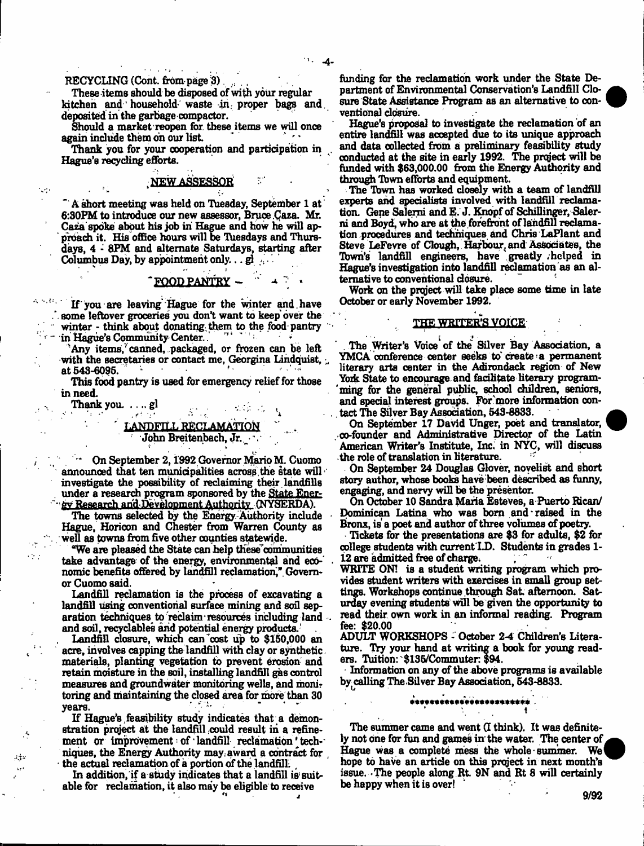# RECYCLING (Cont. from page 3)

These items should be disposed of with your regular kitchen and' household waste in. proper bags and. deposited in the garbage compactor.

Should a market reopen for. these items we will once again include them on our list.

Thank you for your cooperation and participation in . Hague's recycling efforts. '

# NEW ASSESSOR

A short meeting was held on Tuesday, September 1 at 6:30FM to introduce our new assessor, Bruce Qaza. Mr. Caza spoke about his job in Hague and how he will approach it. His office hours will be Tuesdays and Thursdays, 4 - 8PM and alternate Saturdays, starting after Columbus Day, by appointment only... $g_1$ ...

 $\text{FOOD PANTRY}$   $\sim$   $\sim$   $\sim$   $\sim$   $\sim$ 

If you are leaving' Hague for the winter and . have some leftover groceries you don't want to keep over the winter - think about donating them to the food pantry in Hague's Community Center...

'Any items, canned, packaged, or frozen can be left with the secretaries or contact me, Georgina Lindquist,  $\frac{1}{2}$  et 548-6095 at 543-6095. \*•

This food pantry is used for emergency relief for those in need.

Thank you.  $\ldots$  gl that  $\frac{1}{2}$  that  $\frac{1}{2}$  the  $\frac{1}{2}$  that  $\frac{1}{2}$ 

 $\sim$ 

 $\sim 10$ 

any

# LANDFILL RECLAMATION John Breitenbach, Jr. \

On September 2, 1992 Governor Mario M. Cuomo announced that ten municipalities across the state will investigate the possibility of reclaiming their landfills under a research program sponsored by the State Energy Research and Development Authority (NYSERDA).

The towns selected by the Energy Authority include Hague, Horicon and Chester from Warren County as . well as towns from five other counties statewide.

"We are pleased the State can help these"communities take advantage of the energy, environmental and economic benefits offered by landfill reclamation," Governor Cuomo said.

Landfill reclamation is the process of excavating a landfill using conventional surface mining and soil separation techniques to reclaim resources including land and soil, recyclables arid potential energy products.'

Landfill closure, which can cost up to \$150,000 an acre, involves capping the landfill with clay or synthetic materials, planting vegetation to prevent erosion and retain moisture in the soil, installing landfill gas control measures and groundwater monitoring wells, and moni? toring and maintaining the closed area for more than 30  $years.$  v  $years.$ 

If Hague's feasibility study indicates that a demonstration project at the landfill could result in a refinement or improvement of landfill reclamation techniques, the Energy Authority may. awanl a contract for the actual reclamation of a portion of the landfill.

In addition, if a study indicates that a landfill is suitable for reclamation, it also may be eligible to receive

funding for the reclamation work under the State Department of Environmental Conservation's Landfill Closure State Assistance Program as an alternative to conventional closure.

Hague's proposal to investigate the reclamation of an entire landfill was accepted due to its unique approach and data collected from a preliminary feasibility study conducted at the site in early 1992. The project will be funded with \$63,000.00 from the Energy Authority and through Tbwn efforts and equipment.

The Tbwn has worked closely with a team of landfill experts and specialists involved with landfill reclamation. Gene Salerni and E. J. Knopf of SchiUinger, Salerni and Boyd, who are at the forefront of landfill reclamation procedures and techniques and Chris LaFlant and Steve LeFevre of Clough, Harbour, and Associates, the Town's landfill engineers, have greatly helped in Hague's investigation into landfill reclamation as an alternative to conventional closure.

Work on the project will take place some time in late October or early November 1992.

# THE WRITER'S VOICE-

The Writer's Voice of the Silver Bay Association, a YMCA conference center seeks to create a permanent literary arts center in the Adirondack region of New York State to encourage and facilitate literary programming for the general public, school children, seniors, and special interest groups. For'more information contact The Silver Bay Association, 543-8833.

On September 17 David Unger, poet and translator, co-founder and Administrative Director of the Latin American Writer's Institute, Inc. in NYC, will discuss the role of translation in literature.

On September 24 Douglas Glover, novelist and short story author, whose books have been described as funny, engaging, and nervy will be the presenter.

On October 10 Sandra Maria Esteves, a Puerto Rican/ Dominican Latina who was born and raised in the Bronx, is a poet and author of three volumes of poetry.

Tickets for the presentations are \$3 for adults, \$2 for college students with current I.D. Students in grades 1-12 are admitted free of charge.

WRITE ON! is a student writing program which provides student writers with exercises in small group settings. Workshops continue through Sat. afternoon. Saturday evening students will be given the opportunity to read their own work in an informal reading. Program fee: \$20.00

ADULT WORKSHOPS - October 2-4 Children's Literature. Try your hand at writing a book for young readers. Tuition: \$135/Commuter: \$94.

Information on any of the above programs is available by calling The Silver Bay Association, 543-8833.

# \*\*\*\*\*\*\*\*\*\*\*\*\*\*\*\*\*\*\*\*

The summer came and went (I think). It was definitely not one for fun and games in' the water. The center of Hague was a complete mess the whole summer. We hope to have an article on this project in next month's issue. The people along Rt. 9N and Rt 8 will certainly be happy when it is over!



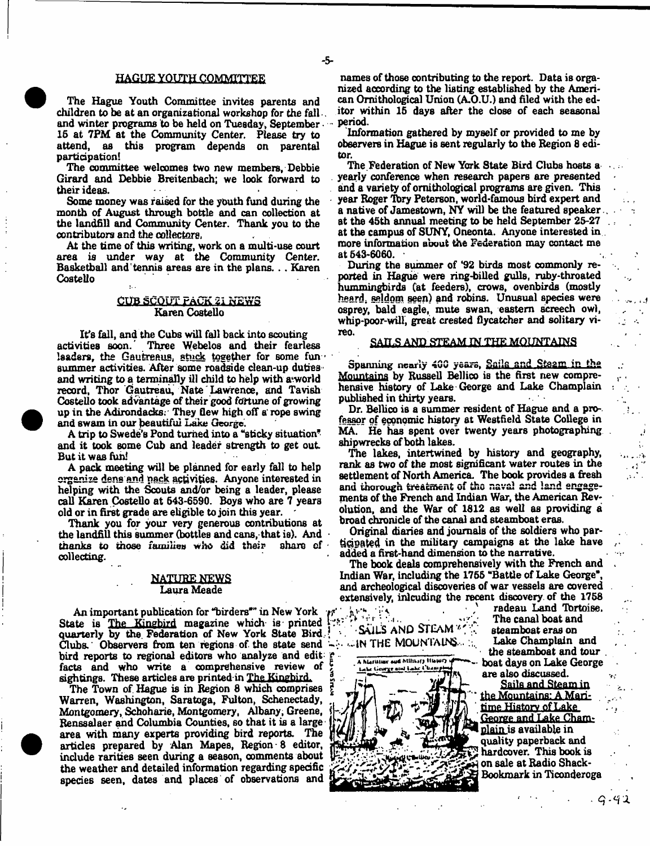#### HAGUE YOUTH COMMITTEE

The Hague Youth Committee invites parents and children to be at an organizational workshop for the fall and winter programs to be held on Tuesday, September • 16 at 7PM at the Community Center. Please try to attend, as this program depends on parental participation!

The committee welcomes two new members, Debbie Girard and Debbie Breitenbach; we look forward to their ideas.

Some money was raised for the youth fund during the month of August through bottle and can collection at the landfill and Community Center. Thank you to the contributors and the collectors.

At the time of this writing, work on a multi-use court area is under way at the Community Center. Basketball and'tennis areas are in the plans. .. Karen Costello

#### CUB SCOUT PACK 21 NEWS Karen Costello

It's fall, and the Cubs will fall back into scouting<br>activities soon. Three Webelos and their fearle Three Webelos and their fearless lsaders, the Gautreaus, stuck together for some fun summer activities. After some roadside clean-up duties and writing to a terminally ill child to help with a world record, Thor Gautreau, Nate Lawrence, and Tavish Costello took advantage of their good fortune of growing up in the Adirondacks: They flew high off a' rope swing and swam in our beautiful Lake George.

A trip to Swede's Pond turned into a "sticky situation" and it took some Cub and leader strength to get out But it was fun!

A pack meeting will be planned for early fall to help organize dens and pack activities. Anyone interested in helping with the Scouts and/or being a leader, please call Karen Costello at 643-6590. Boys who are 7 years old or in first grade are eligible to join this year.

Thank you for your very generous contributions at the landfill this summer (bottles and cans, that is). And thenks to those families who did their share of thanks to those families who did their collecting.

#### . NATURE NEWS Laura Meade

An important publication for "birders'" in New York State is The Kingbird magazine which is printed! quarterly by the. Federation of New York State Bird. Clubs. Observers from ten regions of. the state send bird reports to regional editors who analyze and edit; facts and who write a comprehensive review of sightings. These articles are printed in The Kingbird.

The Town of Hague is in Begion 8 which comprises Warren, Washington, Saratoga, Fulton, Schenectady, Montgomery, Schoharie, Montgomery, Albany, Greene, Renssalaer and Columbia Counties, so that it is a large area with many experts providing bird reports. The articles prepared by Alan Mapes, Region - 8 editor, include rarities seen during a season, comments about the weather and detailed information regarding specific species seen, dates and places of observations and

names of those contributing to the report. Data is organized according to the listing established by the American Ornithological Union (A.O.U.) and filed with the editor within 15 days after the close of each seasonal period.

Information gathered by myself or provided to me by observers in Hague is sent regularly to the Region 8 editor.

The Federation of New York State Bird Clubs hosts a yearly conference when research papers are presented and a variety of ornithological programs are given. This year Roger Tbry Peterson, world-famous bird expert and a native of Jamestown, NY will be the featured speaker at the 45th annual meeting to be held September 25-27 at the campus of SUNY, Oneonta. Anyone interested in more information about the Federation may contact me at 543-6060.

During the summer of \*92 birds most commonly reported in Hague were ring-billed gulls, ruby-throated hummingbirds (at feeders), crows, ovenbirds (mostly heard, seldom seen) and robins. Unusual species were osprey, bald eagle, mute swan, eastern screech owl, whip-poor-will, great crested flycatcher and solitary vireo.

#### SAILS AND STEAM IN THE MOUNTAINS

Spanning nearly 400 years, Sails and Steam in the Mountains by Russell Bellico is the first new comprehensive history of Lake George and Lake Champlain published in thirty years.

Dr. Bellico is a summer resident of Hague and a professor of economic history at Westfield State College in MA. He has spent over twenty years photographing shipwrecks of both lakes.

The lakes, intertwined by history and geography, rank as two of the most significant water routes in the settlement of North America. The book provides a fresh and thorough treatment of the naval and land engagements of the French and Indian War, the American Revolution, and the War of 1812 as well as providing a broad chronicle of the canal and steamboat eras.

Original diaries and journals of the soldiers who participated in the military campaigns at the lake have added a first-hand dimension to the narrative.

The book deals comprehensively with the French and Indian War, including the 1755 "Battle of Lake George", and archeological discoveries of war vessels are covered extensively, inlcuding the recent discovery of the 1758

*-a* ■•sails and stl a m 7': ,  $\cdot$ in the Mountains... ...



radeau Land Ibrtoise. The canal boat and steamboat eras on Lake Champlain and the steamboat and tour . boat days on Lake George are also discussed.

ţ.  $\sim 10$  $\sim$   $\sim$   $\frac{1}{2}$ 

Sails and Steam in the Mountains: A Maritime History of Lake George and Lake Chamnlain is available in quality paperback and hardcover. This book is on sale at Radio Shack-Bookraark in Ticonderoga

 $-9 - 42$ 

- 5-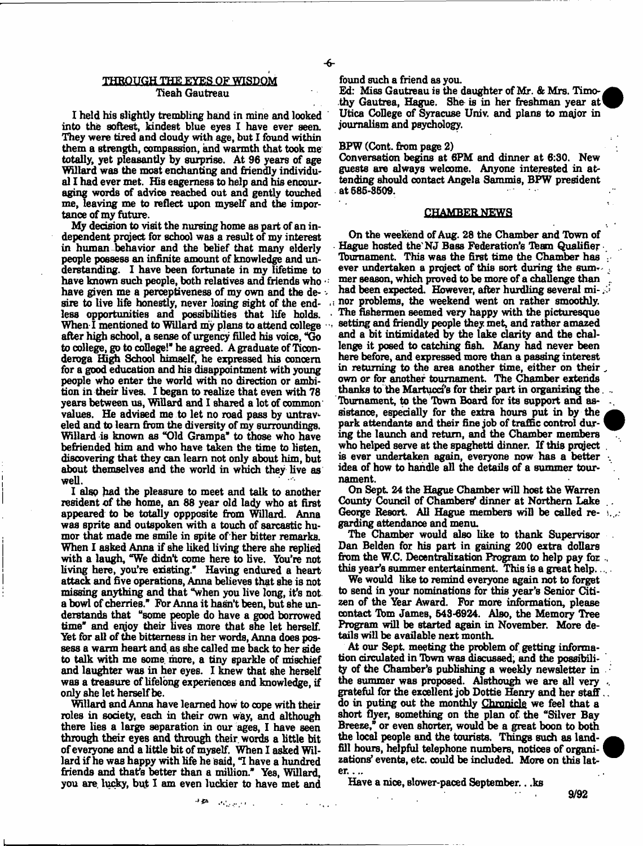### THROUGH THE EYES OF WISDOM Tieah Gautreau

I held his slightly trembling hand in mine and looked into the softest, kindest blue eyes I have ever seen. They were tired and cloudy with age, but I found within them a strength, compassion, and warmth that took me totally, yet pleasantly by surprise. At 96 years of age Willard was the most enchanting and friendly individual I had ever met. His eagerness to help and his encouraging words of advice reached out and gently touched me, leaving me to reflect upon myself and the importance of my future.

My decision to visit the nursing home as part of an independent project for school was a result of my interest in human behavior and the belief that many elderly people possess an infinite amount of knowledge and understanding. I have been fortunate in my lifetime to have known such people, both relatives and friends who  $\oplus$ have given me a perceptiveness of my own and the de- $\sim$ sire to live life honestly, never losing sight of the endless opportunities and possibilities that life holds. When I mentioned to Willard my plans to attend college after high school, a sense of urgency filled his voice, "Go to college, go to college!'' he agreed. A graduate of Ticonderoga High School himself, he expressed his concern for a good education and his disappointment with young people who enter the world with no direction or ambition in their lives. I began to realize that even with 78 years between us, Willard and I shared a lot of common values. He advised me to let no road pass by untraveled and to learn from the diversity of my surroundings. Willard is known as "Old Grampa" to those who have befriended him and who have taken the time to listen, discovering that they can learn not only about him, but about themselves and the world in which they live as well.

I alsp had the pleasure to meet and talk to another resident of the home, an 88 year old lady who at first appeared to be totally oppposite from Willard. Anna was sprite and outspoken with a touch of sarcastic humor that made me smile in spite of her bitter remarks. When I asked Anna if she liked living there she replied with a laugh, "We didn't come here to live. You're not living here, you're existing." Having endured a heart attack and five operations, Anna believes that she is not missing anything and that "when you live long, it's not a bowl of cherries.'' For Anna it hasn't been, but she understands that "some people do have a good borrowed time\* and enjoy their lives more that she let herself. Yet for all of the bitterness in her words, Anna does possess a warm heart and, as she called me back to her side to talk with me some, more, a tiny sparkle of mischief and laughter was in her eyes. I knew that she herself was a treasure of lifelong experiences and knowledge, if only she let herself be.

Willard and Anna have learned how to cope with their roles in society, each in their own way, and although there lies a large separation in our ages, I have seen through their eyes and through their, words a little bit of everyone and a little bit of myself. When I asked Willard if he was happy with life he Said, "I have a hundred friends and that's better than a million." Yes, Willard, you are. lucky, but I am even luckier to have met and

 $\rightarrow 45\%$ 

found such a friend as you.

-6-

Ed: Miss Gautreau is the daughter of Mr. & Mrs. Timothy Gautrea, Hague. She is in her freshman year at Utica College of Syracuse Univ. and plans to major in journalism and psychology.

#### BPW (Cent, from page 2)

Conversation begins at 6PM and dinner at 6:30. New guests are always welcome. Anyone interested in attending should contact Angela Sammis, BPW president at 685-3509.

#### CHAMBER NEWS

On the weekend of Aug. 28 the Chamber and Tbwn of Hague hosted the NJ Bass Federation's Team Qualifier. Tbumament. This was the first time the Chamber has ever undertaken a project of this sort during the summer season, which proved to be more of a challenge than had been expected. However, after hurdling several minor problems, the weekend went on rather smoothly. The fishermen seemed very happy with the picturesque setting and friendly people they met, and rather amazed and a bit intimidated by the lake clarity and the challenge it posed to catching fish. Many had never been here before, and expressed more than a passing interest in returning to the area another time, either on their own or for another tournament. The Chamber extends thanks to the Martucci's for their part in organizing the  $\ldots$ Tbumament, to the Tbwn Board for its support and assistance, especially for the extra hours put in by the park attendants and their fine job of traffic control during the launch and return, and the Chamber members who helped serve at the spaghetti dinner. If this project is ever undertaken again, everyone now has a better idea of how to handle all the details of a summer tournament.

On Sept. 24 the Hague Chamber will host the Warren County Council of Chambers' dinner at Northern Lake George Resort. All Hague members will be called regarding attendance and menu.

The Chamber would also like to thank Supervisor Dan Belden for his part in gaining 200 extra dollars from the W.C. Decentralization Program to help pay for  $\Box$ this year's summer entertainment. This is a great help..

We would like to remind everyone again not to forget to send in your nominations for this year's Senior Citizen of the Year Award. For more information, please contact Tbm James, 543-6924. Also, the Memory Tree Program will be started again in November. More details will be available next month.

At our Sept. meeting the problem of getting information circulated in Tbwn was discussed; and the possibility of the Chamber's publishing a weekly newsletter in the summer was proposed. Alsthough we are all very grateful for the excellent job Dottie Henry and her staff... do in puting out the monthly Chronicle we feel that a short flyer, something on the plan of the "Silver Bay Breeze," or even shorter, would be a great boon to both the local people and the tourists. Things such as landfill hours, helpful telephone numbers, notices of organizations' events, etc. could be included. More on this later. ...

Have a nice, Blower-paced September.. .ks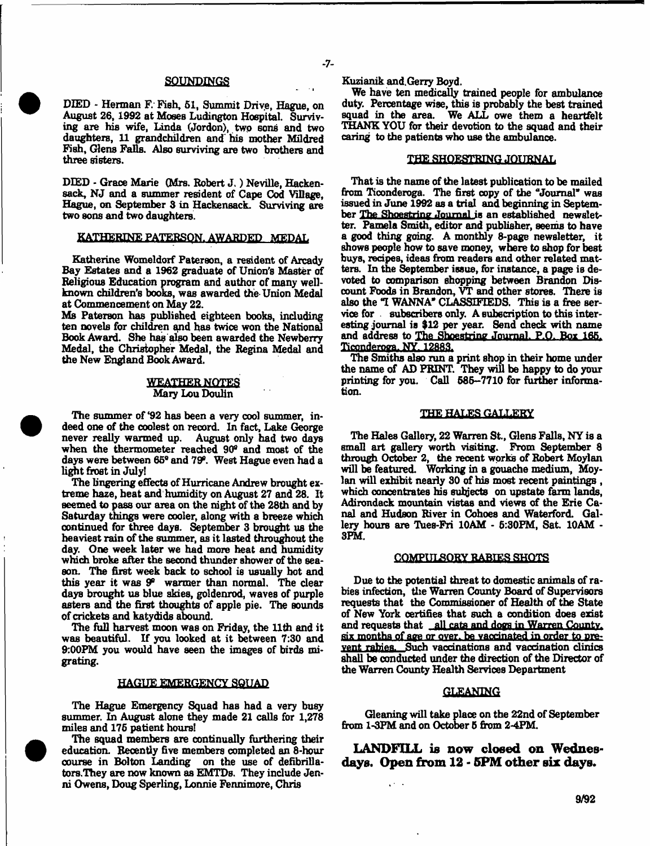#### SOUNDINGS

DIED - Herman F.' Fish, 51, Summit Driye, Hague, on August 26,1992 at Moses Ludington Hospital. Surviving are his wife, Linda (Jordon), two sons and two daughters, 11 grandchildren and his mother Mildred Fish, Glens Falls. Also surviving are two brothers and three sisters.

DIED - Grace Marie (Mrs. Robert J.) Neville, Hackensack, NJ and a summer resident of Cape Cod Village, Hague, on September 8 in Hackensack. Surviving are two sons and two daughters.

#### KATHERINE PATERSON. AWARDED MEDAL

Katherine Womeldorf Paterson, a resident of Arcady Bay Estates and a 1962 graduate of Union's Master of Religious Education program and author of many wellknown children's books, was awarded the Union Medal at Commencement on May 22.

Ms Paterson has published eighteen books, including ten novels for children and has twice won the National Book Award. She has also been awarded the Newberry Medal, the Christopher Medal, the Regina Medal and the New England Book Award.

#### WEATHER NOTES Mary Lou Doulin

The summer of '92 has been a very cool summer, indeed one of the coolest on record. In fact, Lake George never really warmed up. August only had two days when the thermometer reached  $90^\circ$  and most of the days were between 65° and 79°. West Hague even had a light finost in July!

The lingering effects of Hurricane Andrew brought extreme haze, heat and humidity on August 27 and 28. It seemed to pass our area on the night of the 28th and by Saturday things were cooler, along with a breeze which continued for three days. September 3 brought us the heaviest rain of the summer, as it lasted throughout the day. One week later we had more heat and humidity which broke after the second thunder shower of the season. The first week back to school is usually hot and this year it was  $9^{\circ}$  warmer than normal. The clear days brought us blue skies, goldenrod, waves of purple asters and the first thoughts of apple pie. The sounds of crickets and katydids abound.

The full harvest moon was on Friday, the 11th and it was beautiful. If you looked at it between 7:30 and 9:00PM you would have seen the images of birds migrating.

# HAGUE EMERGENCY SQUAD

The Hague Emergency Squad has had a very busy summer. In August alone they made 21 calls for 1,278 miles and 176 patient hours!

The squad members are continually furthering their education. Recently five members completed an 8-hour course in Bolton Landing on the use of defibrillators.They are now known as EMTDs. They indude Jenni Owens, Doug Sperling, Lonnie Fennimore, Chris

 $-7-$ 

We have ten medically trained people for ambulance duty. Percentage wise, this is probably the best trained squad in the area. We ALL owe them a heartfelt We ALL owe them a heartfelt THANK YOU for their devotion to the squad and their caring to the patients who use the ambulance.

### THE SHOESTRING JOURNAL

That is the name of the latest publication to be mailed from Ticonderoga. The first copy of the "Journal\* was issued in June 1992 as a trial and beginning in September The Shoestring Journal is an established newsletter. Pamela Smith, editor and publisher, seems to have a good thing going. A monthly 8-page newsletter, it shows people how to save money, where to shop for best buys, recipes, ideas from readers and other related matters. In the September issue, for instance, a page is devoted to comparison shopping between Brandon Discount Foods in Brandon, VT and other stores. There is also the "I WANNA" CLASSIFIEDS. This is a free service for subscribers only. A subscription to this interesting journal is \$12 per year. Send check with name and address to The Shoestring Journal. P.O. Box 165. Ticonderoga. NY. 12883.

The Smiths also run a print shop in their home under the name of AD PRINT. They will be happy to do your printing for you. Call 585-7710 for further information.

#### THE HALES GALLERY

The Hales Gallery, 22 Warren St., Glens Falls, NY is a small art gallery worth visiting. From September 8 through October 2, the recent works of Robert Moylan will be featured. Working in a gouache medium, Moylan will exhibit nearly 30 of his most recent paintings, which concentrates his subjects on upstate farm lands, Adirondack mountain vistas and views of the Erie Canal and Hudson River in Cohoes and Waterford. Gallery hours are Tues-Fri 10AM - 6:30PM, Sat. 10AM - 3PM.

#### COMPULSORY RABIES SHOTS

Due to the potential threat to domestic animals of rabies infection, the Warren County Board of Supervisors requests that the Commissioner of Health of the State of New York certifies that such a condition does exist and requests that all cats and dogs in Warren County. six months of age or over, be vaccinated in order to prevent rabies. Such vaccinations and vaccination clinics shall be conducted under the direction of the Director of the Warren County Health Services Department

#### GLEANING

Gleaning will take place on the 22nd of September from 1^3PM and on October 6 from 2-4PM.

LANDFILL is now closed on Wednesdays. Open from  $12$  -  $5PM$  other six days.